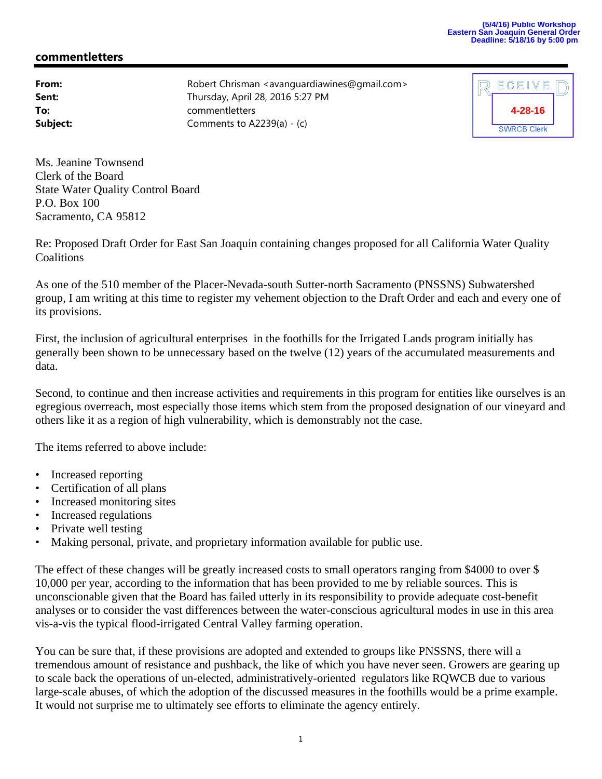## **(5/4/16) Public Workshop Eastern San Joaquin General Order Deadline: 5/18/16 by 5:00 pm**

## **commentletters**

**From:** Robert Chrisman <avanguardiawines@gmail.com> **Sent:** Thursday, April 28, 2016 5:27 PM **To:** commentletters **Subject:** Comments to A2239(a) - (c)



Ms. Jeanine Townsend Clerk of the Board State Water Quality Control Board P.O. Box 100 Sacramento, CA 95812

Re: Proposed Draft Order for East San Joaquin containing changes proposed for all California Water Quality **Coalitions** 

As one of the 510 member of the Placer-Nevada-south Sutter-north Sacramento (PNSSNS) Subwatershed group, I am writing at this time to register my vehement objection to the Draft Order and each and every one of its provisions.

First, the inclusion of agricultural enterprises in the foothills for the Irrigated Lands program initially has generally been shown to be unnecessary based on the twelve (12) years of the accumulated measurements and data.

Second, to continue and then increase activities and requirements in this program for entities like ourselves is an egregious overreach, most especially those items which stem from the proposed designation of our vineyard and others like it as a region of high vulnerability, which is demonstrably not the case.

The items referred to above include:

- Increased reporting
- Certification of all plans
- Increased monitoring sites
- Increased regulations
- Private well testing
- Making personal, private, and proprietary information available for public use.

The effect of these changes will be greatly increased costs to small operators ranging from \$4000 to over \$ 10,000 per year, according to the information that has been provided to me by reliable sources. This is unconscionable given that the Board has failed utterly in its responsibility to provide adequate cost-benefit analyses or to consider the vast differences between the water-conscious agricultural modes in use in this area vis-a-vis the typical flood-irrigated Central Valley farming operation.

You can be sure that, if these provisions are adopted and extended to groups like PNSSNS, there will a tremendous amount of resistance and pushback, the like of which you have never seen. Growers are gearing up to scale back the operations of un-elected, administratively-oriented regulators like RQWCB due to various large-scale abuses, of which the adoption of the discussed measures in the foothills would be a prime example. It would not surprise me to ultimately see efforts to eliminate the agency entirely.